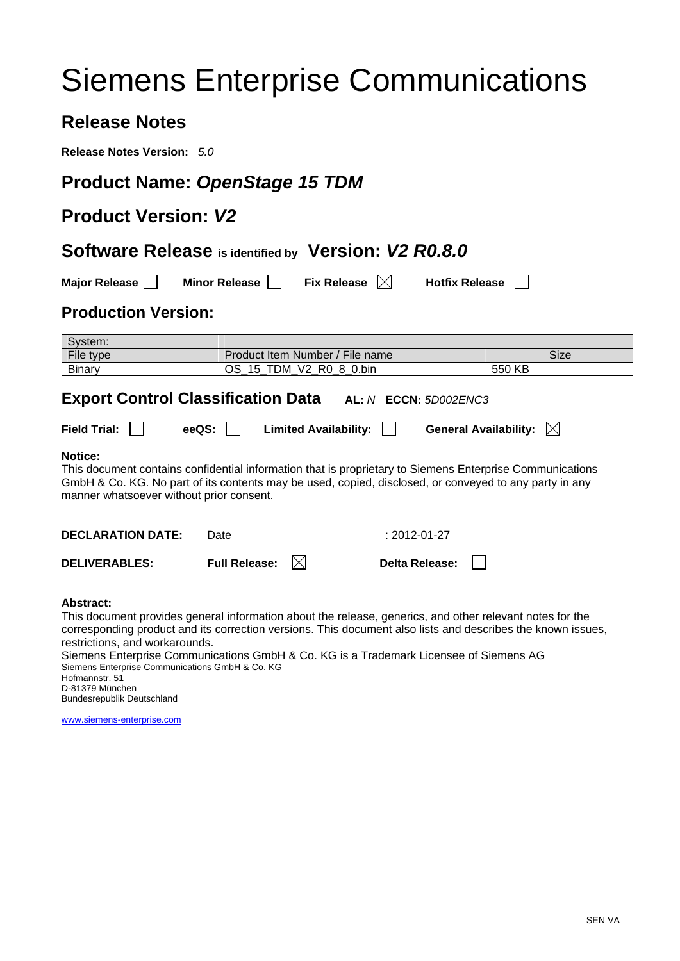# Siemens Enterprise Communications

# **Release Notes**

**Release Notes Version:** *5.0*

### **Product Name:** *OpenStage 15 TDM*

# **Product Version:** *V2*

#### **Software Release is identified by Version:** *V2 R0.8.0*

**Major Release Minor Release Fix Release Music Release Number** 

#### **Production Version:**

| System:                                                                                                                                                                                                                                                                          |                                                                             |                                                |                       |        |  |
|----------------------------------------------------------------------------------------------------------------------------------------------------------------------------------------------------------------------------------------------------------------------------------|-----------------------------------------------------------------------------|------------------------------------------------|-----------------------|--------|--|
| File type                                                                                                                                                                                                                                                                        |                                                                             | Product Item Number / File name<br><b>Size</b> |                       |        |  |
| <b>Binary</b>                                                                                                                                                                                                                                                                    |                                                                             | OS_15_TDM_V2_R0_8_0.bin                        |                       | 550 KB |  |
| <b>Export Control Classification Data</b>                                                                                                                                                                                                                                        |                                                                             |                                                | AL: N ECCN: 5D002ENC3 |        |  |
| <b>Field Trial:</b>                                                                                                                                                                                                                                                              | eeQS:<br>General Availability: $\ \times\ $<br><b>Limited Availability:</b> |                                                |                       |        |  |
| <b>Notice:</b><br>This document contains confidential information that is proprietary to Siemens Enterprise Communications<br>GmbH & Co. KG. No part of its contents may be used, copied, disclosed, or conveyed to any party in any<br>manner whatsoever without prior consent. |                                                                             |                                                |                       |        |  |
| <b>DECLARATION DATE:</b>                                                                                                                                                                                                                                                         | Date                                                                        |                                                | $: 2012 - 01 - 27$    |        |  |
| <b>DELIVERABLES:</b>                                                                                                                                                                                                                                                             | <b>Full Release:</b>                                                        | IXI                                            | Delta Release:        |        |  |
| Abstract:<br>This document provides general information about the release, generics, and other relevant notes for the<br>corresponding product and its correction versions. This document also lists and describes the known issues,<br>restrictions, and workarounds.           |                                                                             |                                                |                       |        |  |

Siemens Enterprise Communications GmbH & Co. KG is a Trademark Licensee of Siemens AG Siemens Enterprise Communications GmbH & Co. KG Hofmannstr. 51 D-81379 München Bundesrepublik Deutschland

[www.siemens-enterprise.com](http://www.siemens-enterprise.com/)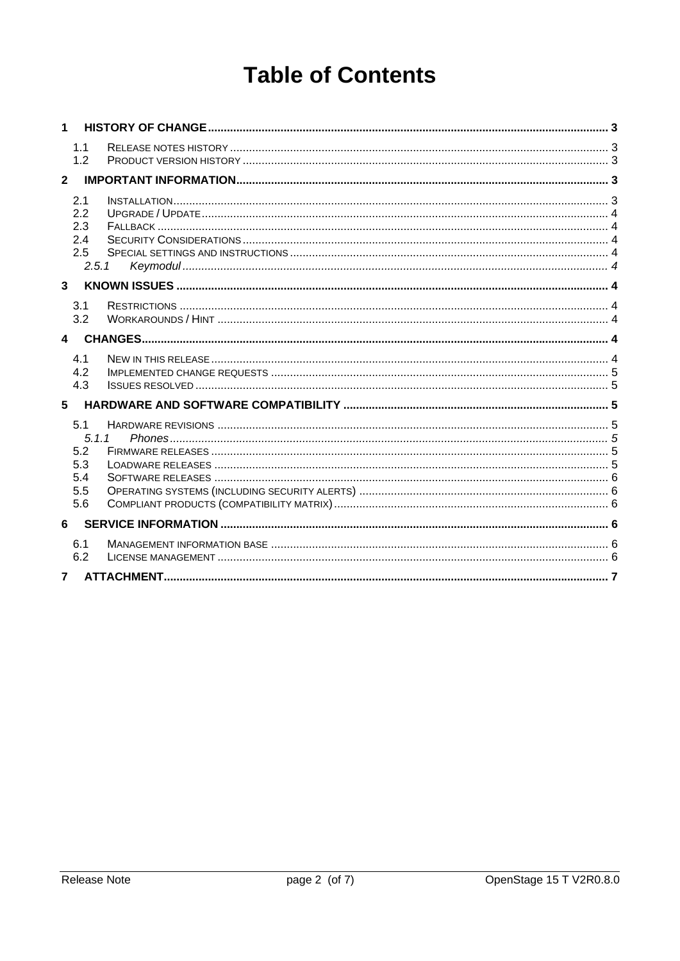# **Table of Contents**

| 1                |                                                 |  |
|------------------|-------------------------------------------------|--|
|                  | 1.1<br>1.2                                      |  |
| $\mathbf{2}$     |                                                 |  |
|                  | 2.1<br>2.2<br>2.3<br>2.4<br>2.5<br>2.5.1        |  |
| $\mathbf{3}$     |                                                 |  |
|                  | 3.1<br>3.2                                      |  |
| $\blacktriangle$ |                                                 |  |
|                  | 4.1<br>4.2<br>4.3                               |  |
| 5                |                                                 |  |
|                  | 5.1<br>5.1.1<br>5.2<br>5.3<br>5.4<br>5.5<br>5.6 |  |
| 6                |                                                 |  |
|                  | 6.1<br>6.2                                      |  |
| $\overline{7}$   |                                                 |  |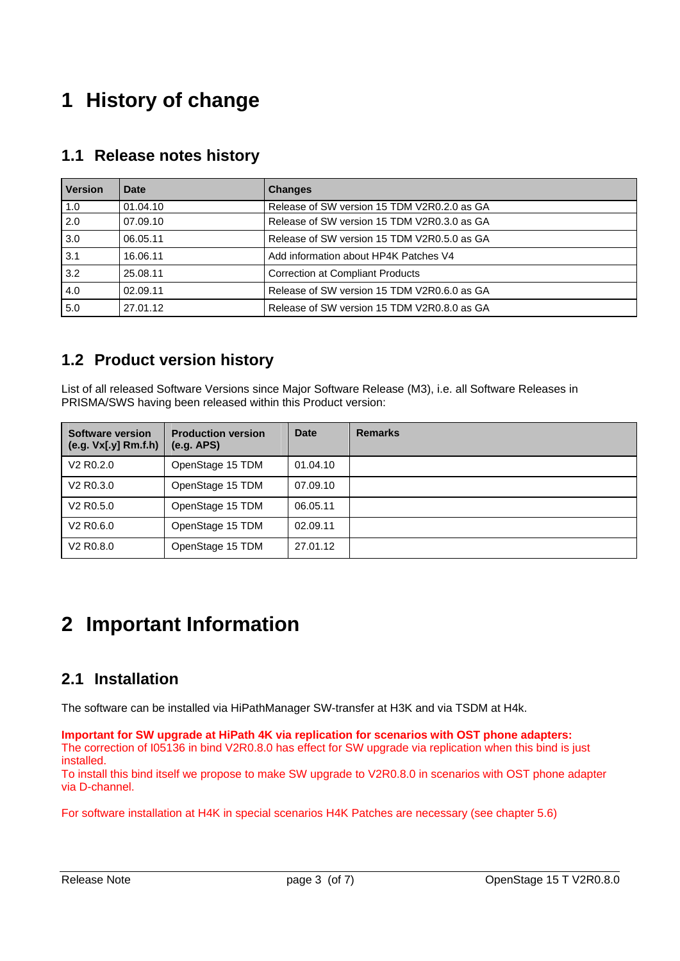# <span id="page-2-0"></span>**1 History of change**

| <b>Version</b> | Date     | <b>Changes</b>                              |  |
|----------------|----------|---------------------------------------------|--|
| 1.0            | 01.04.10 | Release of SW version 15 TDM V2R0.2.0 as GA |  |
| 2.0            | 07.09.10 | Release of SW version 15 TDM V2R0.3.0 as GA |  |
| 3.0            | 06.05.11 | Release of SW version 15 TDM V2R0.5.0 as GA |  |
| 3.1            | 16.06.11 | Add information about HP4K Patches V4       |  |
| 3.2            | 25.08.11 | <b>Correction at Compliant Products</b>     |  |
| 4.0            | 02.09.11 | Release of SW version 15 TDM V2R0.6.0 as GA |  |
| 5.0            | 27.01.12 | Release of SW version 15 TDM V2R0.8.0 as GA |  |

#### **1.1 Release notes history**

# **1.2 Product version history**

List of all released Software Versions since Major Software Release (M3), i.e. all Software Releases in PRISMA/SWS having been released within this Product version:

| Software version<br>(e.g. Vx[.y] Rm.f.h) | <b>Production version</b><br>(e.g. APS) | <b>Date</b> | <b>Remarks</b> |
|------------------------------------------|-----------------------------------------|-------------|----------------|
| V <sub>2</sub> R <sub>0</sub> .2.0       | OpenStage 15 TDM                        | 01.04.10    |                |
| V <sub>2</sub> R <sub>0</sub> .3.0       | OpenStage 15 TDM                        | 07.09.10    |                |
| V2 R0.5.0                                | OpenStage 15 TDM                        | 06.05.11    |                |
| V <sub>2</sub> R <sub>0.6.0</sub>        | OpenStage 15 TDM                        | 02.09.11    |                |
| V <sub>2</sub> R <sub>0</sub> .8.0       | OpenStage 15 TDM                        | 27.01.12    |                |

# **2 Important Information**

# **2.1 Installation**

The software can be installed via HiPathManager SW-transfer at H3K and via TSDM at H4k.

**Important for SW upgrade at HiPath 4K via replication for scenarios with OST phone adapters:**  The correction of I05136 in bind V2R0.8.0 has effect for SW upgrade via replication when this bind is just installed.

To install this bind itself we propose to make SW upgrade to V2R0.8.0 in scenarios with OST phone adapter via D-channel.

For software installation at H4K in special scenarios H4K Patches are necessary (see chapter 5.6)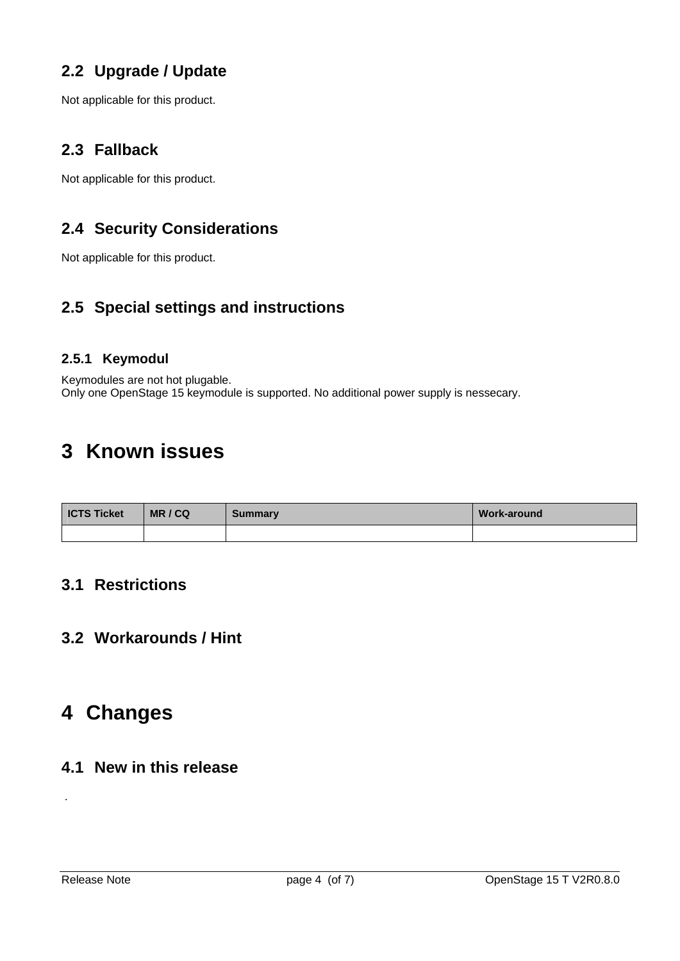# <span id="page-3-0"></span>**2.2 Upgrade / Update**

Not applicable for this product.

# **2.3 Fallback**

Not applicable for this product.

# **2.4 Security Considerations**

Not applicable for this product.

# **2.5 Special settings and instructions**

#### **2.5.1 Keymodul**

Keymodules are not hot plugable. Only one OpenStage 15 keymodule is supported. No additional power supply is nessecary.

# **3 Known issues**

| <b>ICTS Ticket</b> | MR/CQ | <b>Summary</b> | Work-around |
|--------------------|-------|----------------|-------------|
|                    |       |                |             |

#### **3.1 Restrictions**

#### **3.2 Workarounds / Hint**

# **4 Changes**

#### **4.1 New in this release**

.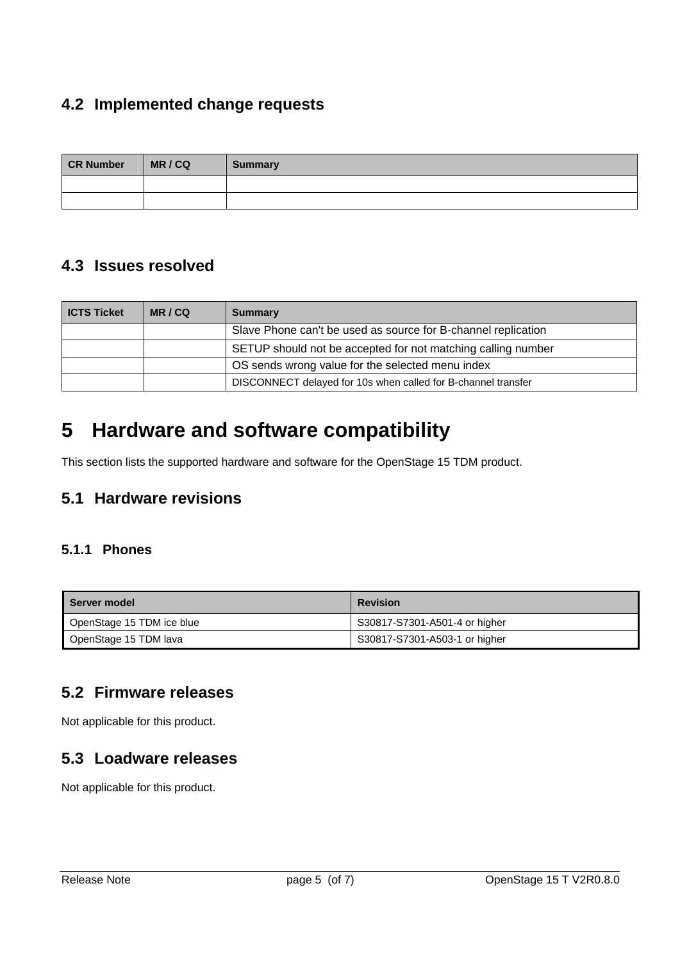# <span id="page-4-0"></span>**4.2 Implemented change requests**

| <b>CR Number</b> | MR/CQ | <b>Summary</b> |
|------------------|-------|----------------|
|                  |       |                |
|                  |       |                |

### **4.3 Issues resolved**

| <b>ICTS Ticket</b> | MR/CQ | <b>Summary</b>                                                |
|--------------------|-------|---------------------------------------------------------------|
|                    |       | Slave Phone can't be used as source for B-channel replication |
|                    |       | SETUP should not be accepted for not matching calling number  |
|                    |       | OS sends wrong value for the selected menu index              |
|                    |       | DISCONNECT delayed for 10s when called for B-channel transfer |

# **5 Hardware and software compatibility**

This section lists the supported hardware and software for the OpenStage 15 TDM product.

# **5.1 Hardware revisions**

#### **5.1.1 Phones**

| <b>Server model</b>       | <b>Revision</b>               |
|---------------------------|-------------------------------|
| OpenStage 15 TDM ice blue | S30817-S7301-A501-4 or higher |
| OpenStage 15 TDM lava     | S30817-S7301-A503-1 or higher |

#### **5.2 Firmware releases**

Not applicable for this product.

#### **5.3 Loadware releases**

Not applicable for this product.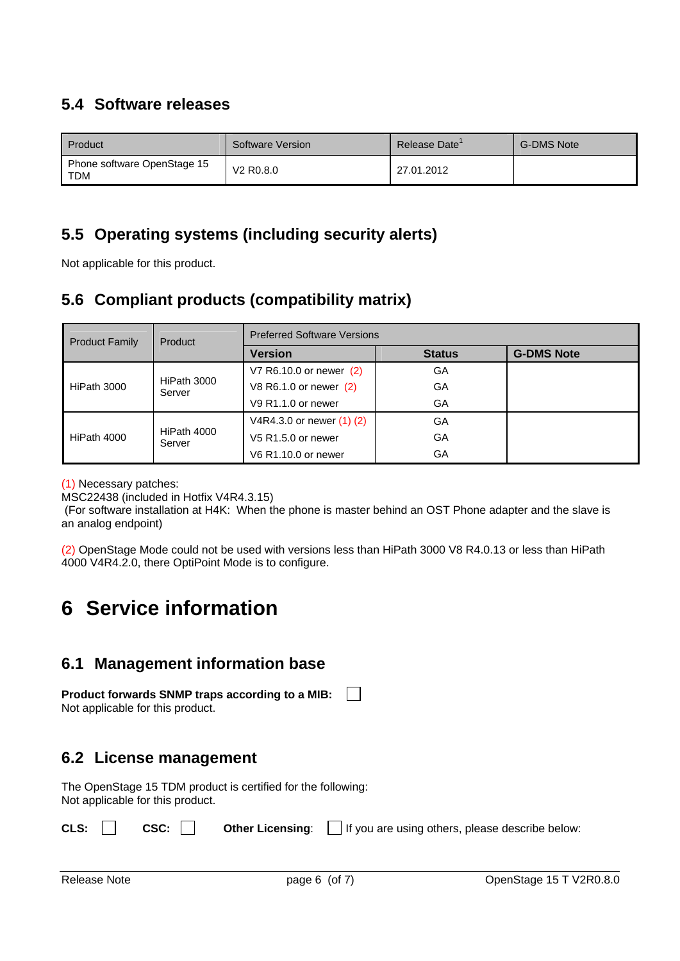# <span id="page-5-0"></span>**5.4 Software releases**

| Product                                   | Software Version                   | Release Date' | <b>G-DMS Note</b> |
|-------------------------------------------|------------------------------------|---------------|-------------------|
| Phone software OpenStage 15<br><b>TDM</b> | V <sub>2</sub> R <sub>0.8</sub> .0 | 27.01.2012    |                   |

# **5.5 Operating systems (including security alerts)**

Not applicable for this product.

# **5.6 Compliant products (compatibility matrix)**

| <b>Product Family</b> | Product               | <b>Preferred Software Versions</b> |               |                   |  |
|-----------------------|-----------------------|------------------------------------|---------------|-------------------|--|
|                       |                       | <b>Version</b>                     | <b>Status</b> | <b>G-DMS Note</b> |  |
| HiPath 3000           |                       | V7 R6.10.0 or newer (2)            | GA            |                   |  |
|                       | HiPath 3000<br>Server | V8 R6.1.0 or newer (2)             | GA            |                   |  |
|                       |                       | $V9$ R <sub>1.1.0</sub> or newer   | GA            |                   |  |
| HiPath 4000           | HiPath 4000<br>Server | V4R4.3.0 or newer (1) (2)          | GA            |                   |  |
|                       |                       | V5 R1.5.0 or newer                 | GA            |                   |  |
|                       |                       | V6 R1.10.0 or newer                | GA            |                   |  |

(1) Necessary patches:

MSC22438 (included in Hotfix V4R4.3.15)

 (For software installation at H4K: When the phone is master behind an OST Phone adapter and the slave is an analog endpoint)

(2) OpenStage Mode could not be used with versions less than HiPath 3000 V8 R4.0.13 or less than HiPath 4000 V4R4.2.0, there OptiPoint Mode is to configure.

# **6 Service information**

# **6.1 Management information base**

**Product forwards SNMP traps according to a MIB:**  $\mathbb{R}^n$ Not applicable for this product.

# **6.2 License management**

The OpenStage 15 TDM product is certified for the following: Not applicable for this product.

|  | <b>CLS:</b> $\Box$ <b>CSC:</b> $\Box$ <b>Other Licensing</b> : $\Box$ If you are using others, please describe below: |
|--|-----------------------------------------------------------------------------------------------------------------------|
|  |                                                                                                                       |